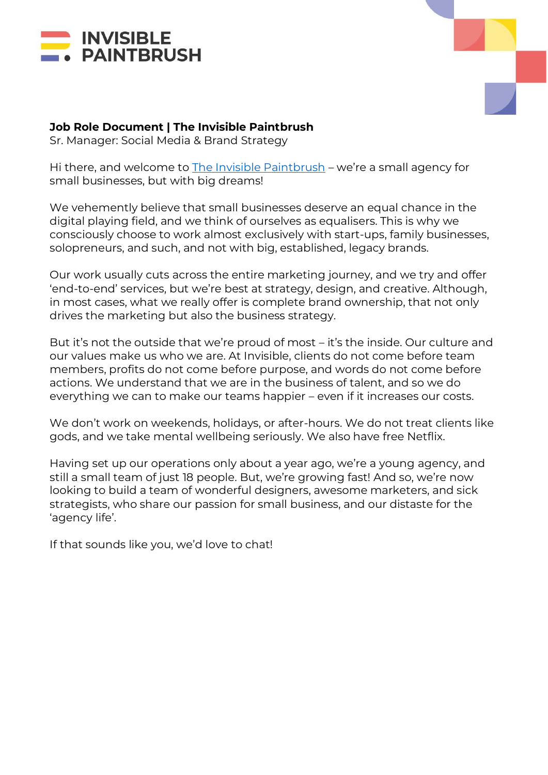



# **Job Role Document | The Invisible Paintbrush**

Sr. Manager: Social Media & Brand Strategy

Hi there, and welcome to [The Invisible Paintbrush](http://www.theinvisiblepaintbrush.com/) – we're a small agency for small businesses, but with big dreams!

We vehemently believe that small businesses deserve an equal chance in the digital playing field, and we think of ourselves as equalisers. This is why we consciously choose to work almost exclusively with start-ups, family businesses, solopreneurs, and such, and not with big, established, legacy brands.

Our work usually cuts across the entire marketing journey, and we try and offer 'end-to-end' services, but we're best at strategy, design, and creative. Although, in most cases, what we really offer is complete brand ownership, that not only drives the marketing but also the business strategy.

But it's not the outside that we're proud of most – it's the inside. Our culture and our values make us who we are. At Invisible, clients do not come before team members, profits do not come before purpose, and words do not come before actions. We understand that we are in the business of talent, and so we do everything we can to make our teams happier – even if it increases our costs.

We don't work on weekends, holidays, or after-hours. We do not treat clients like gods, and we take mental wellbeing seriously. We also have free Netflix.

Having set up our operations only about a year ago, we're a young agency, and still a small team of just 18 people. But, we're growing fast! And so, we're now looking to build a team of wonderful designers, awesome marketers, and sick strategists, who share our passion for small business, and our distaste for the 'agency life'.

If that sounds like you, we'd love to chat!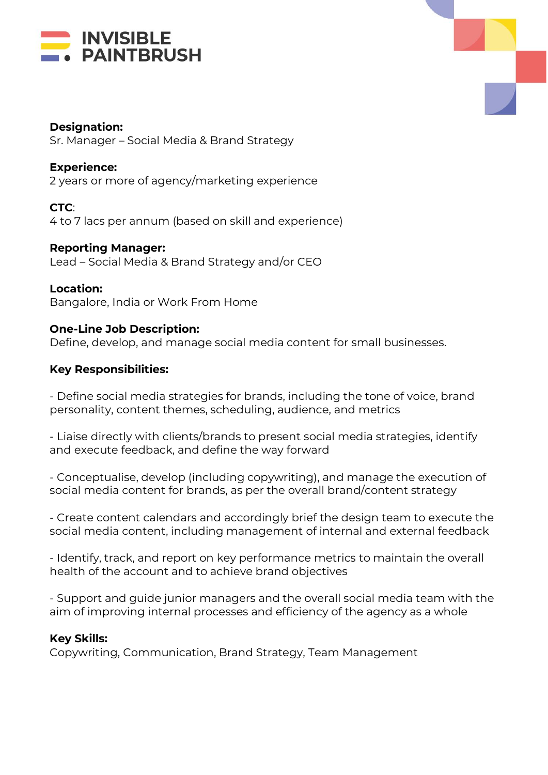



#### **Designation:**

Sr. Manager – Social Media & Brand Strategy

# **Experience:**

2 years or more of agency/marketing experience

**CTC**: 4 to 7 lacs per annum (based on skill and experience)

**Reporting Manager:**

Lead – Social Media & Brand Strategy and/or CEO

### **Location:**

Bangalore, India or Work From Home

### **One-Line Job Description:**

Define, develop, and manage social media content for small businesses.

## **Key Responsibilities:**

- Define social media strategies for brands, including the tone of voice, brand personality, content themes, scheduling, audience, and metrics

- Liaise directly with clients/brands to present social media strategies, identify and execute feedback, and define the way forward

- Conceptualise, develop (including copywriting), and manage the execution of social media content for brands, as per the overall brand/content strategy

- Create content calendars and accordingly brief the design team to execute the social media content, including management of internal and external feedback

- Identify, track, and report on key performance metrics to maintain the overall health of the account and to achieve brand objectives

- Support and guide junior managers and the overall social media team with the aim of improving internal processes and efficiency of the agency as a whole

#### **Key Skills:**

Copywriting, Communication, Brand Strategy, Team Management